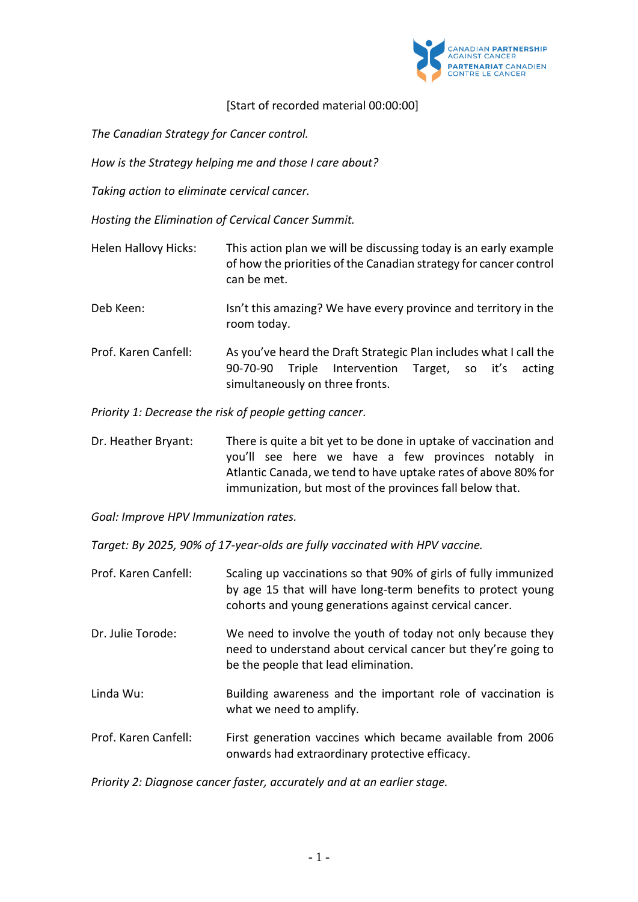

## [Start of recorded material 00:00:00]

*The Canadian Strategy for Cancer control.* 

*How is the Strategy helping me and those I care about?*

*Taking action to eliminate cervical cancer.*

*Hosting the Elimination of Cervical Cancer Summit.*

- Helen Hallovy Hicks: This action plan we will be discussing today is an early example of how the priorities of the Canadian strategy for cancer control can be met.
- Deb Keen: Isn't this amazing? We have every province and territory in the room today.
- Prof. Karen Canfell: As you've heard the Draft Strategic Plan includes what I call the 90-70-90 Triple Intervention Target, so it's acting simultaneously on three fronts.

*Priority 1: Decrease the risk of people getting cancer.*

Dr. Heather Bryant: There is quite a bit yet to be done in uptake of vaccination and you'll see here we have a few provinces notably in Atlantic Canada, we tend to have uptake rates of above 80% for immunization, but most of the provinces fall below that.

*Goal: Improve HPV Immunization rates.*

*Target: By 2025, 90% of 17-year-olds are fully vaccinated with HPV vaccine.*

- Prof. Karen Canfell: Scaling up vaccinations so that 90% of girls of fully immunized by age 15 that will have long-term benefits to protect young cohorts and young generations against cervical cancer.
- Dr. Julie Torode: We need to involve the youth of today not only because they need to understand about cervical cancer but they're going to be the people that lead elimination.
- Linda Wu: Building awareness and the important role of vaccination is what we need to amplify.
- Prof. Karen Canfell: First generation vaccines which became available from 2006 onwards had extraordinary protective efficacy.

*Priority 2: Diagnose cancer faster, accurately and at an earlier stage.*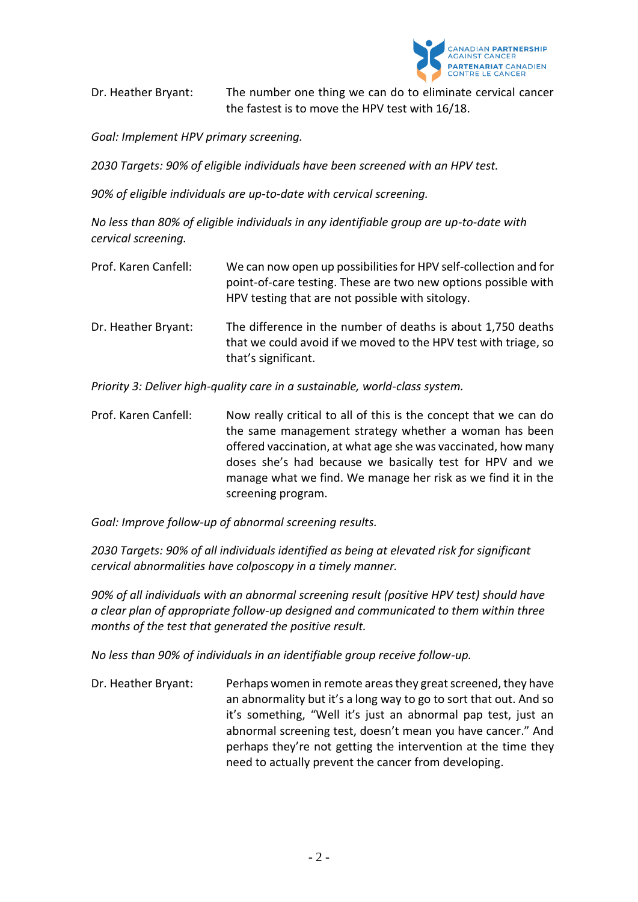

Dr. Heather Bryant: The number one thing we can do to eliminate cervical cancer the fastest is to move the HPV test with 16/18.

*Goal: Implement HPV primary screening.*

*2030 Targets: 90% of eligible individuals have been screened with an HPV test.* 

*90% of eligible individuals are up-to-date with cervical screening.* 

*No less than 80% of eligible individuals in any identifiable group are up-to-date with cervical screening.*

- Prof. Karen Canfell: We can now open up possibilities for HPV self-collection and for point-of-care testing. These are two new options possible with HPV testing that are not possible with sitology.
- Dr. Heather Bryant: The difference in the number of deaths is about 1,750 deaths that we could avoid if we moved to the HPV test with triage, so that's significant.

*Priority 3: Deliver high-quality care in a sustainable, world-class system.*

Prof. Karen Canfell: Now really critical to all of this is the concept that we can do the same management strategy whether a woman has been offered vaccination, at what age she was vaccinated, how many doses she's had because we basically test for HPV and we manage what we find. We manage her risk as we find it in the screening program.

*Goal: Improve follow-up of abnormal screening results.*

*2030 Targets: 90% of all individuals identified as being at elevated risk for significant cervical abnormalities have colposcopy in a timely manner.*

*90% of all individuals with an abnormal screening result (positive HPV test) should have a clear plan of appropriate follow-up designed and communicated to them within three months of the test that generated the positive result.*

*No less than 90% of individuals in an identifiable group receive follow-up.*

Dr. Heather Bryant: Perhaps women in remote areas they great screened, they have an abnormality but it's a long way to go to sort that out. And so it's something, "Well it's just an abnormal pap test, just an abnormal screening test, doesn't mean you have cancer." And perhaps they're not getting the intervention at the time they need to actually prevent the cancer from developing.